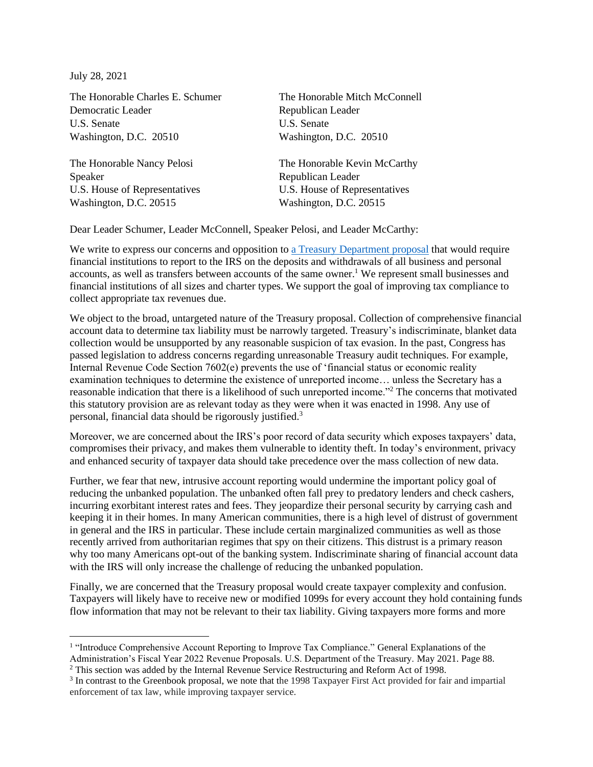July 28, 2021

Democratic Leader Republican Leader U.S. Senate U.S. Senate Washington, D.C. 20510 Washington, D.C. 20510

Speaker Republican Leader U.S. House of Representatives U.S. House of Representatives Washington, D.C. 20515 Washington, D.C. 20515

The Honorable Charles E. Schumer The Honorable Mitch McConnell

The Honorable Nancy Pelosi The Honorable Kevin McCarthy

Dear Leader Schumer, Leader McConnell, Speaker Pelosi, and Leader McCarthy:

We write to express our concerns and opposition to a Treasury [Department](https://home.treasury.gov/system/files/131/General-Explanations-FY2022.pdf) proposal that would require financial institutions to report to the IRS on the deposits and withdrawals of all business and personal accounts, as well as transfers between accounts of the same owner. <sup>1</sup> We represent small businesses and financial institutions of all sizes and charter types. We support the goal of improving tax compliance to collect appropriate tax revenues due.

We object to the broad, untargeted nature of the Treasury proposal. Collection of comprehensive financial account data to determine tax liability must be narrowly targeted. Treasury's indiscriminate, blanket data collection would be unsupported by any reasonable suspicion of tax evasion. In the past, Congress has passed legislation to address concerns regarding unreasonable Treasury audit techniques. For example, Internal Revenue Code Section 7602(e) prevents the use of 'financial status or economic reality examination techniques to determine the existence of unreported income… unless the Secretary has a reasonable indication that there is a likelihood of such unreported income."<sup>2</sup> The concerns that motivated this statutory provision are as relevant today as they were when it was enacted in 1998. Any use of personal, financial data should be rigorously justified.<sup>3</sup>

Moreover, we are concerned about the IRS's poor record of data security which exposes taxpayers' data, compromises their privacy, and makes them vulnerable to identity theft. In today's environment, privacy and enhanced security of taxpayer data should take precedence over the mass collection of new data.

Further, we fear that new, intrusive account reporting would undermine the important policy goal of reducing the unbanked population. The unbanked often fall prey to predatory lenders and check cashers, incurring exorbitant interest rates and fees. They jeopardize their personal security by carrying cash and keeping it in their homes. In many American communities, there is a high level of distrust of government in general and the IRS in particular. These include certain marginalized communities as well as those recently arrived from authoritarian regimes that spy on their citizens. This distrust is a primary reason why too many Americans opt-out of the banking system. Indiscriminate sharing of financial account data with the IRS will only increase the challenge of reducing the unbanked population.

Finally, we are concerned that the Treasury proposal would create taxpayer complexity and confusion. Taxpayers will likely have to receive new or modified 1099s for every account they hold containing funds flow information that may not be relevant to their tax liability. Giving taxpayers more forms and more

<sup>&</sup>lt;sup>1</sup> "Introduce Comprehensive Account Reporting to Improve Tax Compliance." General Explanations of the Administration's Fiscal Year 2022 Revenue Proposals. U.S. Department of the Treasury. May 2021. Page 88.

<sup>&</sup>lt;sup>2</sup> This section was added by the Internal Revenue Service Restructuring and Reform Act of 1998.

<sup>&</sup>lt;sup>3</sup> In contrast to the Greenbook proposal, we note that the 1998 Taxpayer First Act provided for fair and impartial enforcement of tax law, while improving taxpayer service.